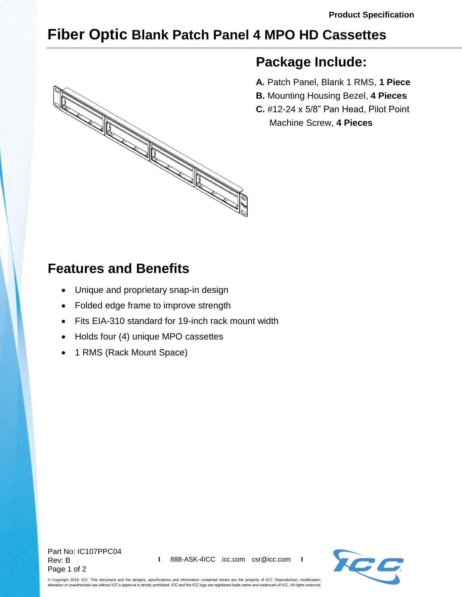## **Fiber Optic Blank Patch Panel 4 MPO HD Cassettes**



## **Package Include:**

- **A.** Patch Panel, Blank 1 RMS, **1 Piece**
- **B.** Mounting Housing Bezel, **4 Pieces**
- **C.** #12-24 x 5/8" Pan Head, Pilot Point Machine Screw, **4 Pieces**

## **Features and Benefits**

- Unique and proprietary snap-in design
- Folded edge frame to improve strength
- Fits EIA-310 standard for 19-inch rack mount width
- Holds four (4) unique MPO cassettes
- 1 RMS (Rack Mount Space)



© Copyright 2018, ICC. This document and the designs, specifications and information contained herein are the property of ICC. Reproduction, modification, alteration or unauthorized use without ICC's approval is strictly prohibited. ICC and the ICC logo are registered trade name and trademark of ICC. All rights reserved.